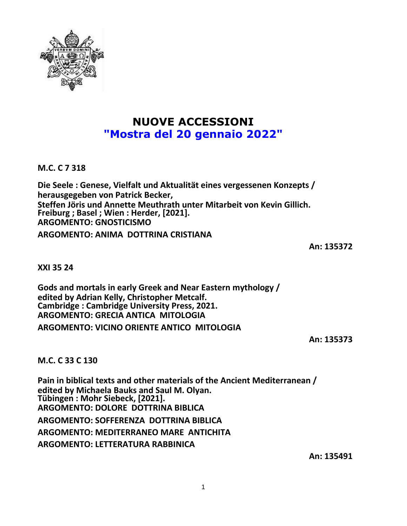

## **NUOVE ACCESSIONI "Mostra del 20 gennaio 2022"**

**M.C. C 7 318**

**Die Seele : Genese, Vielfalt und Aktualität eines vergessenen Konzepts / herausgegeben von Patrick Becker, Steffen Jöris und Annette Meuthrath unter Mitarbeit von Kevin Gillich. Freiburg ; Basel ; Wien : Herder, [2021]. ARGOMENTO: GNOSTICISMO ARGOMENTO: ANIMA DOTTRINA CRISTIANA**

**An: 135372**

**XXI 35 24**

**Gods and mortals in early Greek and Near Eastern mythology / edited by Adrian Kelly, Christopher Metcalf. Cambridge : Cambridge University Press, 2021. ARGOMENTO: GRECIA ANTICA MITOLOGIA ARGOMENTO: VICINO ORIENTE ANTICO MITOLOGIA**

**An: 135373**

**M.C. C 33 C 130**

**Pain in biblical texts and other materials of the Ancient Mediterranean / edited by Michaela Bauks and Saul M. Olyan. Tübingen : Mohr Siebeck, [2021]. ARGOMENTO: DOLORE DOTTRINA BIBLICA ARGOMENTO: SOFFERENZA DOTTRINA BIBLICA ARGOMENTO: MEDITERRANEO MARE ANTICHITA ARGOMENTO: LETTERATURA RABBINICA**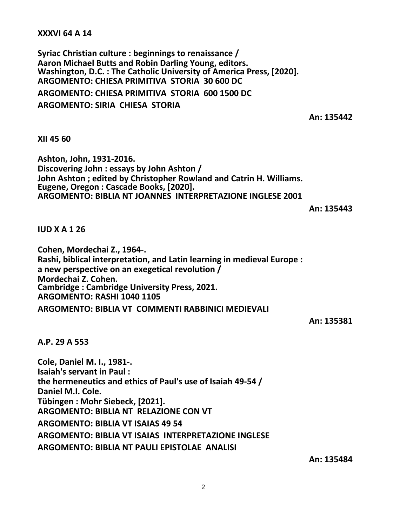## **XXXVI 64 A 14**

**Syriac Christian culture : beginnings to renaissance / Aaron Michael Butts and Robin Darling Young, editors. Washington, D.C. : The Catholic University of America Press, [2020]. ARGOMENTO: CHIESA PRIMITIVA STORIA 30 600 DC ARGOMENTO: CHIESA PRIMITIVA STORIA 600 1500 DC ARGOMENTO: SIRIA CHIESA STORIA**

**An: 135442**

**XII 45 60**

**Ashton, John, 1931-2016. Discovering John : essays by John Ashton / John Ashton ; edited by Christopher Rowland and Catrin H. Williams. Eugene, Oregon : Cascade Books, [2020]. ARGOMENTO: BIBLIA NT JOANNES INTERPRETAZIONE INGLESE 2001**

**An: 135443**

**IUD X A 1 26**

**Cohen, Mordechai Z., 1964-. Rashi, biblical interpretation, and Latin learning in medieval Europe : a new perspective on an exegetical revolution / Mordechai Z. Cohen. Cambridge : Cambridge University Press, 2021. ARGOMENTO: RASHI 1040 1105 ARGOMENTO: BIBLIA VT COMMENTI RABBINICI MEDIEVALI**

**An: 135381**

**A.P. 29 A 553**

**Cole, Daniel M. I., 1981-. Isaiah's servant in Paul : the hermeneutics and ethics of Paul's use of Isaiah 49-54 / Daniel M.I. Cole. Tübingen : Mohr Siebeck, [2021]. ARGOMENTO: BIBLIA NT RELAZIONE CON VT ARGOMENTO: BIBLIA VT ISAIAS 49 54 ARGOMENTO: BIBLIA VT ISAIAS INTERPRETAZIONE INGLESE ARGOMENTO: BIBLIA NT PAULI EPISTOLAE ANALISI**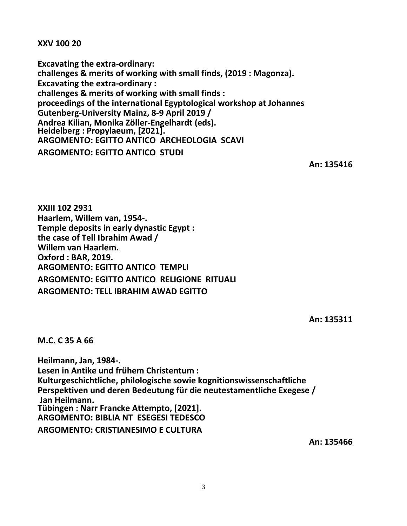**XXV 100 20**

**Excavating the extra-ordinary: challenges & merits of working with small finds, (2019 : Magonza). Excavating the extra-ordinary : challenges & merits of working with small finds : proceedings of the international Egyptological workshop at Johannes Gutenberg-University Mainz, 8-9 April 2019 / Andrea Kilian, Monika Zöller-Engelhardt (eds). Heidelberg : Propylaeum, [2021]. ARGOMENTO: EGITTO ANTICO ARCHEOLOGIA SCAVI ARGOMENTO: EGITTO ANTICO STUDI**

**An: 135416**

**XXIII 102 2931 Haarlem, Willem van, 1954-. Temple deposits in early dynastic Egypt : the case of Tell Ibrahim Awad / Willem van Haarlem. Oxford : BAR, 2019. ARGOMENTO: EGITTO ANTICO TEMPLI ARGOMENTO: EGITTO ANTICO RELIGIONE RITUALI ARGOMENTO: TELL IBRAHIM AWAD EGITTO**

**An: 135311**

**M.C. C 35 A 66**

**Heilmann, Jan, 1984-. Lesen in Antike und frühem Christentum : Kulturgeschichtliche, philologische sowie kognitionswissenschaftliche Perspektiven und deren Bedeutung für die neutestamentliche Exegese / Jan Heilmann. Tübingen : Narr Francke Attempto, [2021]. ARGOMENTO: BIBLIA NT ESEGESI TEDESCO ARGOMENTO: CRISTIANESIMO E CULTURA**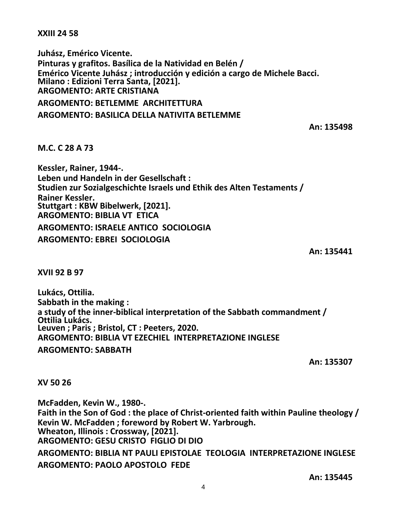**XXIII 24 58**

**Juhász, Emérico Vicente. Pinturas y grafitos. Basílica de la Natividad en Belén / Emérico Vicente Juhász ; introducción y edición a cargo de Michele Bacci. Milano : Edizioni Terra Santa, [2021]. ARGOMENTO: ARTE CRISTIANA ARGOMENTO: BETLEMME ARCHITETTURA ARGOMENTO: BASILICA DELLA NATIVITA BETLEMME**

**An: 135498**

**M.C. C 28 A 73**

**Kessler, Rainer, 1944-. Leben und Handeln in der Gesellschaft : Studien zur Sozialgeschichte Israels und Ethik des Alten Testaments / Rainer Kessler. Stuttgart : KBW Bibelwerk, [2021]. ARGOMENTO: BIBLIA VT ETICA ARGOMENTO: ISRAELE ANTICO SOCIOLOGIA ARGOMENTO: EBREI SOCIOLOGIA**

**An: 135441**

**XVII 92 B 97**

**Lukács, Ottilia. Sabbath in the making : a study of the inner-biblical interpretation of the Sabbath commandment / Ottilia Lukács. Leuven ; Paris ; Bristol, CT : Peeters, 2020. ARGOMENTO: BIBLIA VT EZECHIEL INTERPRETAZIONE INGLESE ARGOMENTO: SABBATH**

**An: 135307**

**XV 50 26**

**McFadden, Kevin W., 1980-. Faith in the Son of God : the place of Christ-oriented faith within Pauline theology / Kevin W. McFadden ; foreword by Robert W. Yarbrough. Wheaton, Illinois : Crossway, [2021]. ARGOMENTO: GESU CRISTO FIGLIO DI DIO ARGOMENTO: BIBLIA NT PAULI EPISTOLAE TEOLOGIA INTERPRETAZIONE INGLESE ARGOMENTO: PAOLO APOSTOLO FEDE**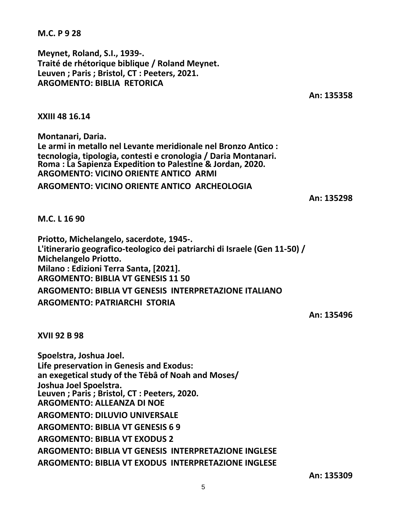**M.C. P 9 28**

**Meynet, Roland, S.I., 1939-. Traité de rhétorique biblique / Roland Meynet. Leuven ; Paris ; Bristol, CT : Peeters, 2021. ARGOMENTO: BIBLIA RETORICA**

**An: 135358**

**XXIII 48 16.14**

**Montanari, Daria. Le armi in metallo nel Levante meridionale nel Bronzo Antico : tecnologia, tipologia, contesti e cronologia / Daria Montanari. Roma : La Sapienza Expedition to Palestine & Jordan, 2020. ARGOMENTO: VICINO ORIENTE ANTICO ARMI ARGOMENTO: VICINO ORIENTE ANTICO ARCHEOLOGIA**

**An: 135298**

**M.C. L 16 90**

**Priotto, Michelangelo, sacerdote, 1945-. L'itinerario geografico-teologico dei patriarchi di Israele (Gen 11-50) / Michelangelo Priotto. Milano : Edizioni Terra Santa, [2021]. ARGOMENTO: BIBLIA VT GENESIS 11 50 ARGOMENTO: BIBLIA VT GENESIS INTERPRETAZIONE ITALIANO ARGOMENTO: PATRIARCHI STORIA**

**An: 135496**

**XVII 92 B 98**

**Spoelstra, Joshua Joel. Life preservation in Genesis and Exodus: an exegetical study of the Tēbâ of Noah and Moses/ Joshua Joel Spoelstra. Leuven ; Paris ; Bristol, CT : Peeters, 2020. ARGOMENTO: ALLEANZA DI NOE ARGOMENTO: DILUVIO UNIVERSALE ARGOMENTO: BIBLIA VT GENESIS 6 9 ARGOMENTO: BIBLIA VT EXODUS 2 ARGOMENTO: BIBLIA VT GENESIS INTERPRETAZIONE INGLESE ARGOMENTO: BIBLIA VT EXODUS INTERPRETAZIONE INGLESE**